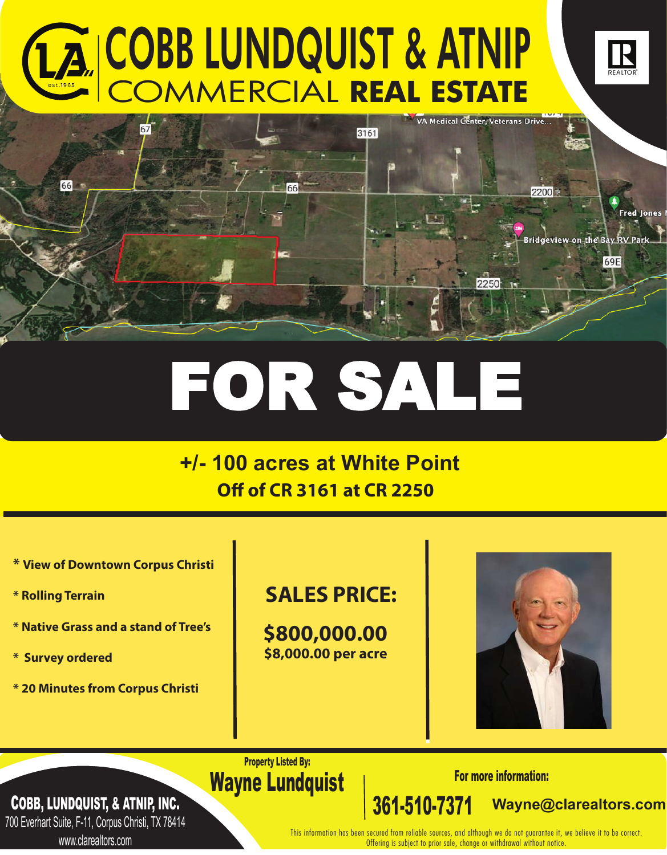# COBB LUNDQUIST & ATNIP COMMERCIAL **REAL ESTATE**



# FOR SALE

# **+/- 100 acres at White Point Off of CR 3161 at CR 2250**

- **\* View of Downtown Corpus Christi**
- **\* Rolling Terrain**
- **\* Native Grass and a stand of Tree's**
- **\* Survey ordered**
- **\* 20 Minutes from Corpus Christi**

## **SALES PRICE:**

**\$800,000.00 \$8,000.00 per acre**



**Lorem ipsum Wayne@clarealtors.com**

Property Listed By: Wayne Lundquist | For more information:

COBB, LUNDQUIST, & ATNIP, INC.

700 Everhart Suite, F-11, Corpus Christi, TX 78414 www.clarealtors.com

This information has been secured from reliable sources, and although we do not guarantee it, we believe it to be correct. Offering is subject to prior sale, change or withdrawal without notice.

361-510-7371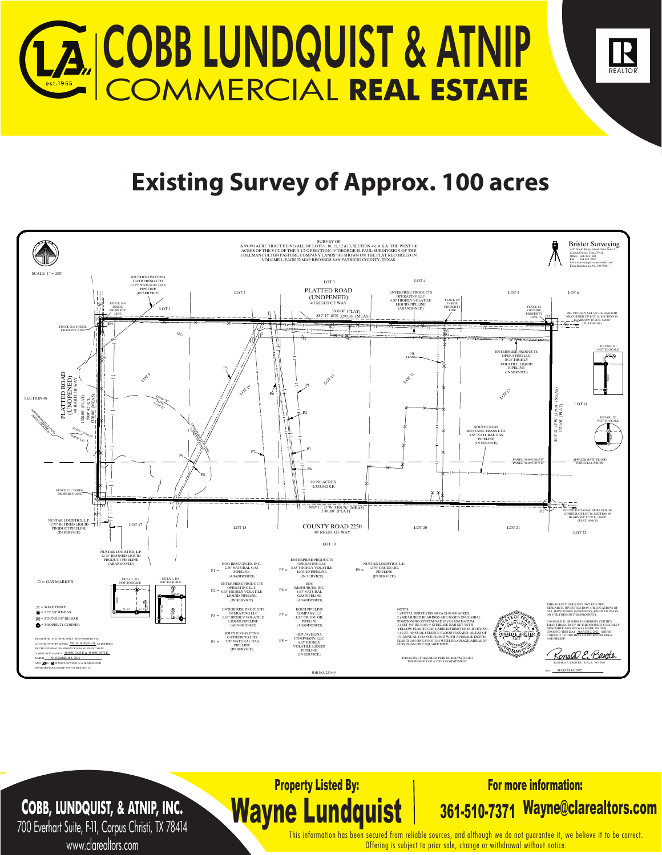

# **Existing Survey of Approx. 100 acres**



Property Listed By:

Wayne Lundquist

## **COBB, LUNDQUIST, & ATNIP, INC.**

700 Everhart Suite, F-11, Corpus Christi, TX 78414 www.clarealtors.com

This information has been secured from reliable sources, and although we do not guarantee it, we believe it to be correct. Offering is subject to prior sale, change or withdrawal without notice.

For more information:

361-510-7371 Wayne@clarealtors.com